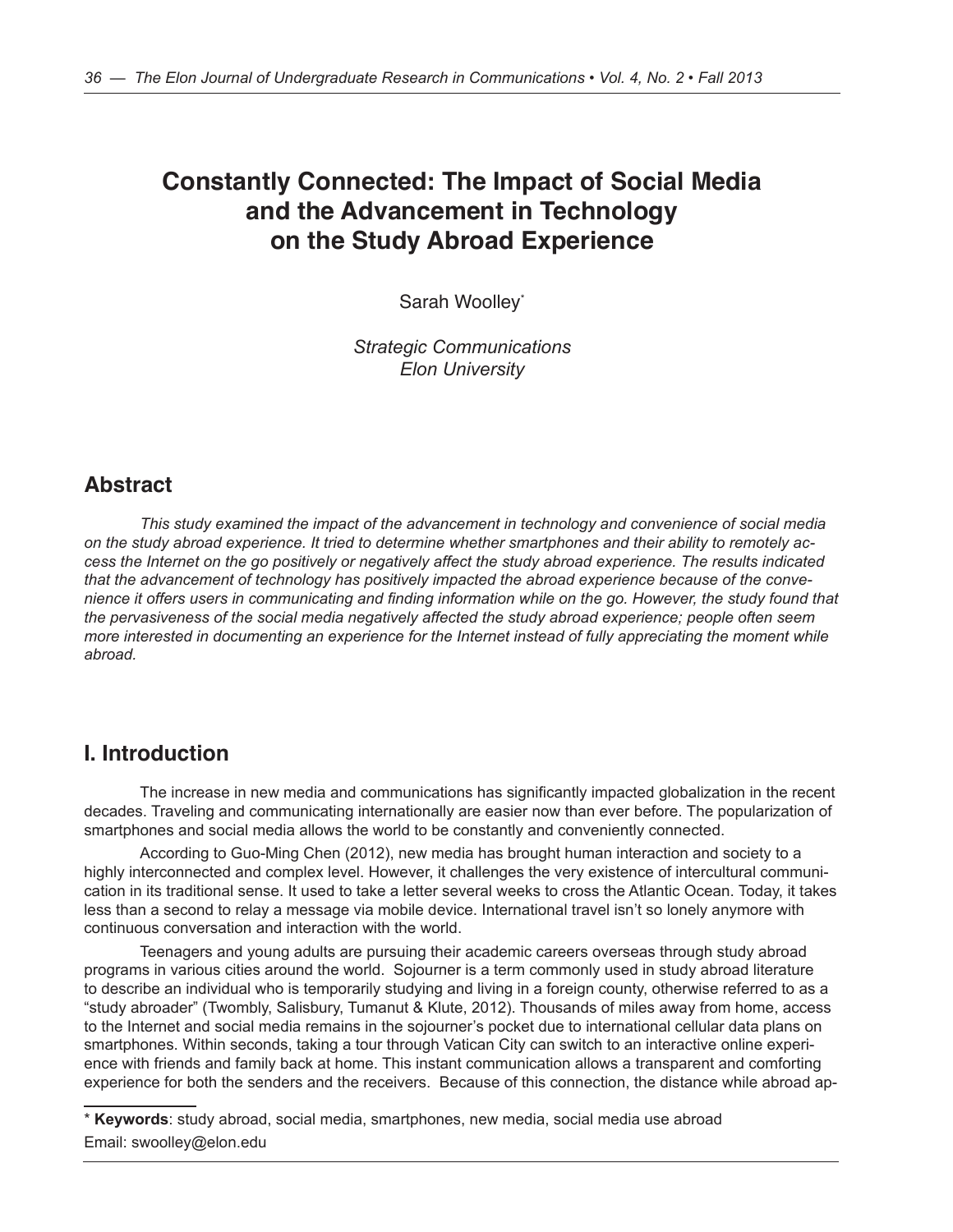# **Constantly Connected: The Impact of Social Media and the Advancement in Technology on the Study Abroad Experience**

Sarah Woolley\*

*Strategic Communications Elon University*

## **Abstract**

*This study examined the impact of the advancement in technology and convenience of social media on the study abroad experience. It tried to determine whether smartphones and their ability to remotely access the Internet on the go positively or negatively affect the study abroad experience. The results indicated that the advancement of technology has positively impacted the abroad experience because of the convenience it offers users in communicating and finding information while on the go. However, the study found that the pervasiveness of the social media negatively affected the study abroad experience; people often seem more interested in documenting an experience for the Internet instead of fully appreciating the moment while abroad.* 

### **I. Introduction**

The increase in new media and communications has significantly impacted globalization in the recent decades. Traveling and communicating internationally are easier now than ever before. The popularization of smartphones and social media allows the world to be constantly and conveniently connected.

According to Guo-Ming Chen (2012), new media has brought human interaction and society to a highly interconnected and complex level. However, it challenges the very existence of intercultural communication in its traditional sense. It used to take a letter several weeks to cross the Atlantic Ocean. Today, it takes less than a second to relay a message via mobile device. International travel isn't so lonely anymore with continuous conversation and interaction with the world.

Teenagers and young adults are pursuing their academic careers overseas through study abroad programs in various cities around the world. Sojourner is a term commonly used in study abroad literature to describe an individual who is temporarily studying and living in a foreign county, otherwise referred to as a "study abroader" (Twombly, Salisbury, Tumanut & Klute, 2012). Thousands of miles away from home, access to the Internet and social media remains in the sojourner's pocket due to international cellular data plans on smartphones. Within seconds, taking a tour through Vatican City can switch to an interactive online experience with friends and family back at home. This instant communication allows a transparent and comforting experience for both the senders and the receivers. Because of this connection, the distance while abroad ap-

\* **Keywords**: study abroad, social media, smartphones, new media, social media use abroad Email: swoolley@elon.edu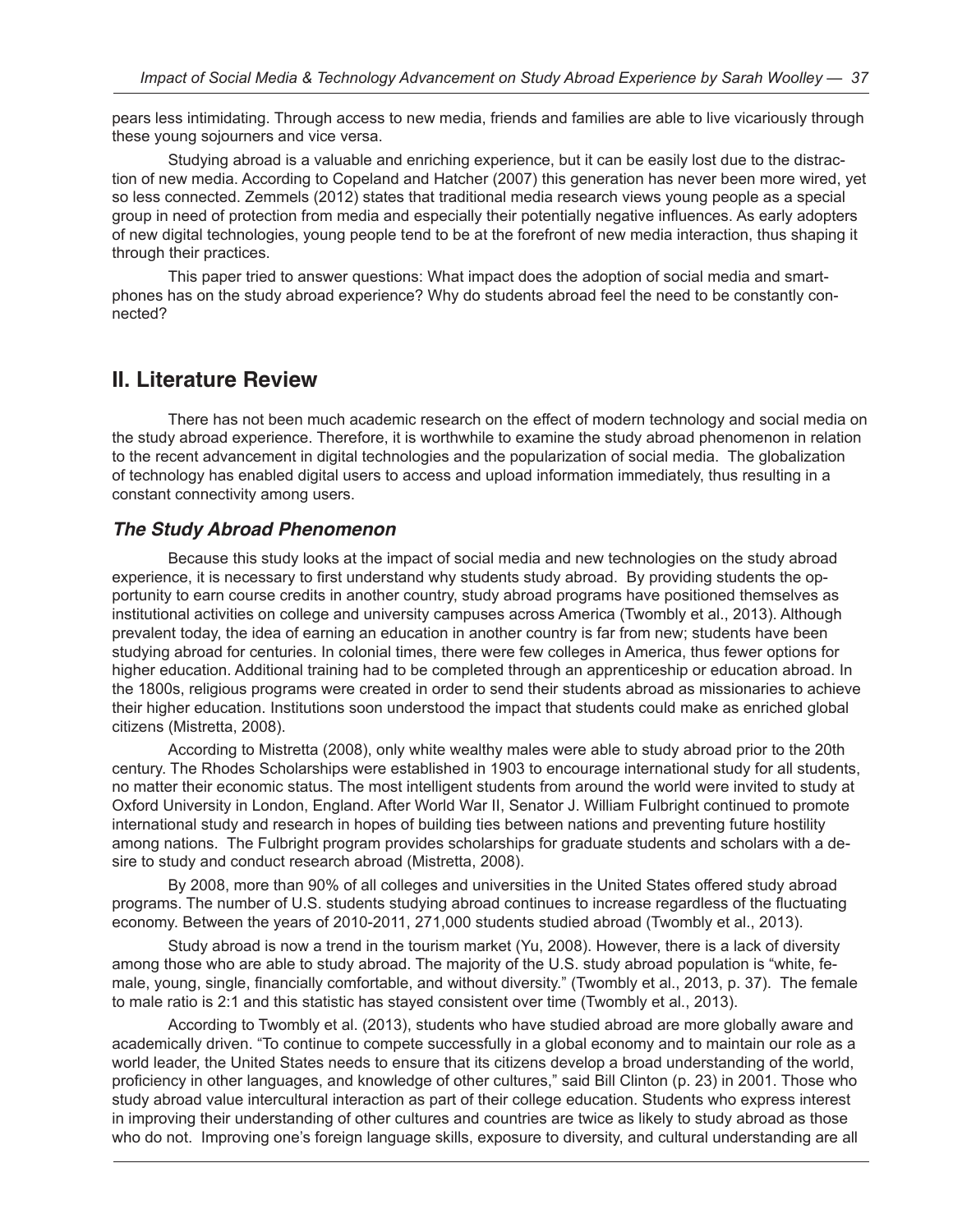pears less intimidating. Through access to new media, friends and families are able to live vicariously through these young sojourners and vice versa.

Studying abroad is a valuable and enriching experience, but it can be easily lost due to the distraction of new media. According to Copeland and Hatcher (2007) this generation has never been more wired, yet so less connected. Zemmels (2012) states that traditional media research views young people as a special group in need of protection from media and especially their potentially negative influences. As early adopters of new digital technologies, young people tend to be at the forefront of new media interaction, thus shaping it through their practices.

This paper tried to answer questions: What impact does the adoption of social media and smartphones has on the study abroad experience? Why do students abroad feel the need to be constantly connected?

## **II. Literature Review**

There has not been much academic research on the effect of modern technology and social media on the study abroad experience. Therefore, it is worthwhile to examine the study abroad phenomenon in relation to the recent advancement in digital technologies and the popularization of social media. The globalization of technology has enabled digital users to access and upload information immediately, thus resulting in a constant connectivity among users.

#### *The Study Abroad Phenomenon*

Because this study looks at the impact of social media and new technologies on the study abroad experience, it is necessary to first understand why students study abroad. By providing students the opportunity to earn course credits in another country, study abroad programs have positioned themselves as institutional activities on college and university campuses across America (Twombly et al., 2013). Although prevalent today, the idea of earning an education in another country is far from new; students have been studying abroad for centuries. In colonial times, there were few colleges in America, thus fewer options for higher education. Additional training had to be completed through an apprenticeship or education abroad. In the 1800s, religious programs were created in order to send their students abroad as missionaries to achieve their higher education. Institutions soon understood the impact that students could make as enriched global citizens (Mistretta, 2008).

According to Mistretta (2008), only white wealthy males were able to study abroad prior to the 20th century. The Rhodes Scholarships were established in 1903 to encourage international study for all students, no matter their economic status. The most intelligent students from around the world were invited to study at Oxford University in London, England. After World War II, Senator J. William Fulbright continued to promote international study and research in hopes of building ties between nations and preventing future hostility among nations. The Fulbright program provides scholarships for graduate students and scholars with a desire to study and conduct research abroad (Mistretta, 2008).

By 2008, more than 90% of all colleges and universities in the United States offered study abroad programs. The number of U.S. students studying abroad continues to increase regardless of the fluctuating economy. Between the years of 2010-2011, 271,000 students studied abroad (Twombly et al., 2013).

Study abroad is now a trend in the tourism market (Yu, 2008). However, there is a lack of diversity among those who are able to study abroad. The majority of the U.S. study abroad population is "white, female, young, single, financially comfortable, and without diversity." (Twombly et al., 2013, p. 37). The female to male ratio is 2:1 and this statistic has stayed consistent over time (Twombly et al., 2013).

According to Twombly et al. (2013), students who have studied abroad are more globally aware and academically driven. "To continue to compete successfully in a global economy and to maintain our role as a world leader, the United States needs to ensure that its citizens develop a broad understanding of the world, proficiency in other languages, and knowledge of other cultures," said Bill Clinton (p. 23) in 2001. Those who study abroad value intercultural interaction as part of their college education. Students who express interest in improving their understanding of other cultures and countries are twice as likely to study abroad as those who do not. Improving one's foreign language skills, exposure to diversity, and cultural understanding are all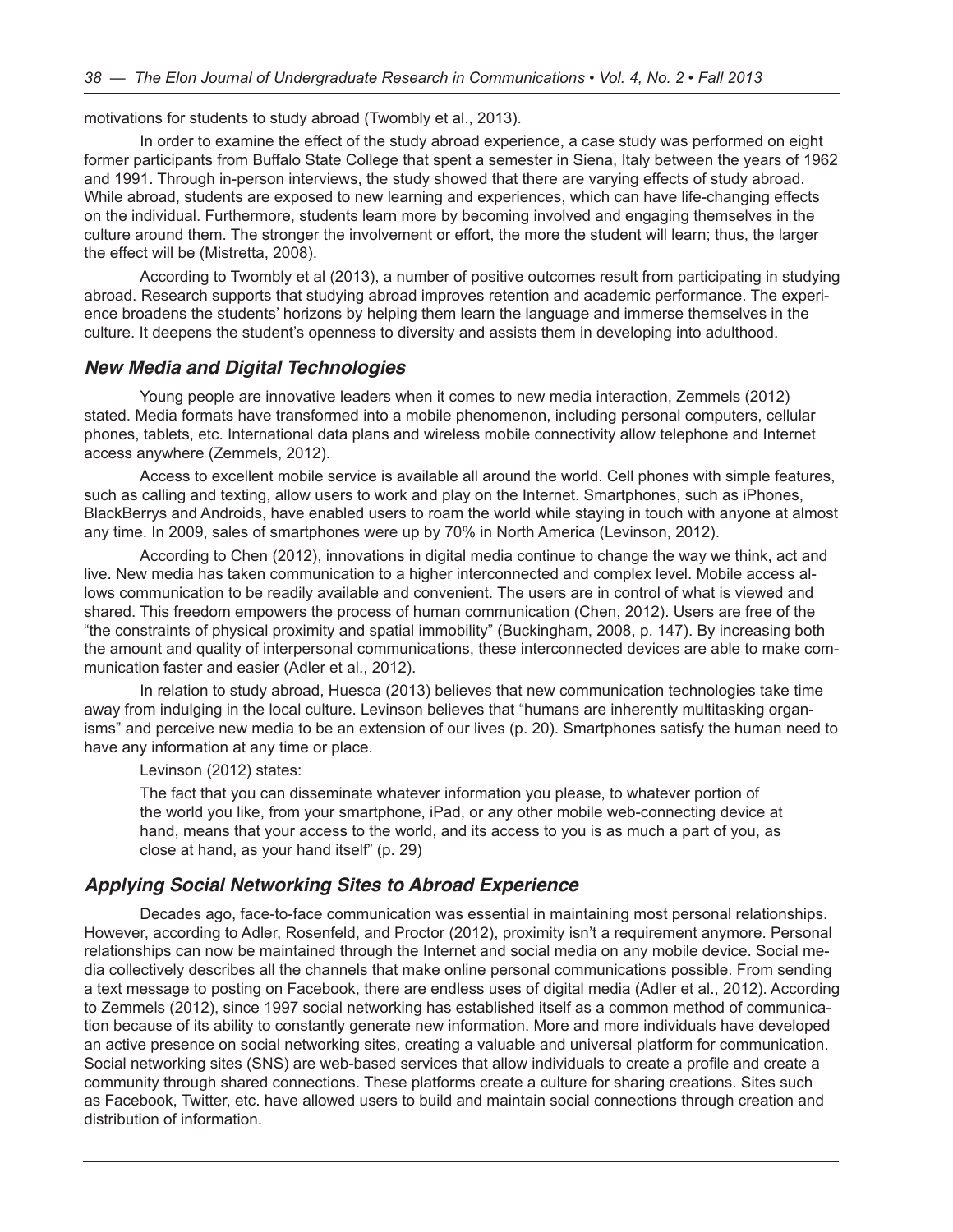motivations for students to study abroad (Twombly et al., 2013).

In order to examine the effect of the study abroad experience, a case study was performed on eight former participants from Buffalo State College that spent a semester in Siena, Italy between the years of 1962 and 1991. Through in-person interviews, the study showed that there are varying effects of study abroad. While abroad, students are exposed to new learning and experiences, which can have life-changing effects on the individual. Furthermore, students learn more by becoming involved and engaging themselves in the culture around them. The stronger the involvement or effort, the more the student will learn; thus, the larger the effect will be (Mistretta, 2008).

According to Twombly et al (2013), a number of positive outcomes result from participating in studying abroad. Research supports that studying abroad improves retention and academic performance. The experience broadens the students' horizons by helping them learn the language and immerse themselves in the culture. It deepens the student's openness to diversity and assists them in developing into adulthood.

#### *New Media and Digital Technologies*

Young people are innovative leaders when it comes to new media interaction, Zemmels (2012) stated. Media formats have transformed into a mobile phenomenon, including personal computers, cellular phones, tablets, etc. International data plans and wireless mobile connectivity allow telephone and Internet access anywhere (Zemmels, 2012).

Access to excellent mobile service is available all around the world. Cell phones with simple features, such as calling and texting, allow users to work and play on the Internet. Smartphones, such as iPhones, BlackBerrys and Androids, have enabled users to roam the world while staying in touch with anyone at almost any time. In 2009, sales of smartphones were up by 70% in North America (Levinson, 2012).

According to Chen (2012), innovations in digital media continue to change the way we think, act and live. New media has taken communication to a higher interconnected and complex level. Mobile access allows communication to be readily available and convenient. The users are in control of what is viewed and shared. This freedom empowers the process of human communication (Chen, 2012). Users are free of the "the constraints of physical proximity and spatial immobility" (Buckingham, 2008, p. 147). By increasing both the amount and quality of interpersonal communications, these interconnected devices are able to make communication faster and easier (Adler et al., 2012).

In relation to study abroad, Huesca (2013) believes that new communication technologies take time away from indulging in the local culture. Levinson believes that "humans are inherently multitasking organisms" and perceive new media to be an extension of our lives (p. 20). Smartphones satisfy the human need to have any information at any time or place.

Levinson (2012) states:

The fact that you can disseminate whatever information you please, to whatever portion of the world you like, from your smartphone, iPad, or any other mobile web-connecting device at hand, means that your access to the world, and its access to you is as much a part of you, as close at hand, as your hand itself" (p. 29)

#### *Applying Social Networking Sites to Abroad Experience*

Decades ago, face-to-face communication was essential in maintaining most personal relationships. However, according to Adler, Rosenfeld, and Proctor (2012), proximity isn't a requirement anymore. Personal relationships can now be maintained through the Internet and social media on any mobile device. Social media collectively describes all the channels that make online personal communications possible. From sending a text message to posting on Facebook, there are endless uses of digital media (Adler et al., 2012). According to Zemmels (2012), since 1997 social networking has established itself as a common method of communication because of its ability to constantly generate new information. More and more individuals have developed an active presence on social networking sites, creating a valuable and universal platform for communication. Social networking sites (SNS) are web-based services that allow individuals to create a profile and create a community through shared connections. These platforms create a culture for sharing creations. Sites such as Facebook, Twitter, etc. have allowed users to build and maintain social connections through creation and distribution of information.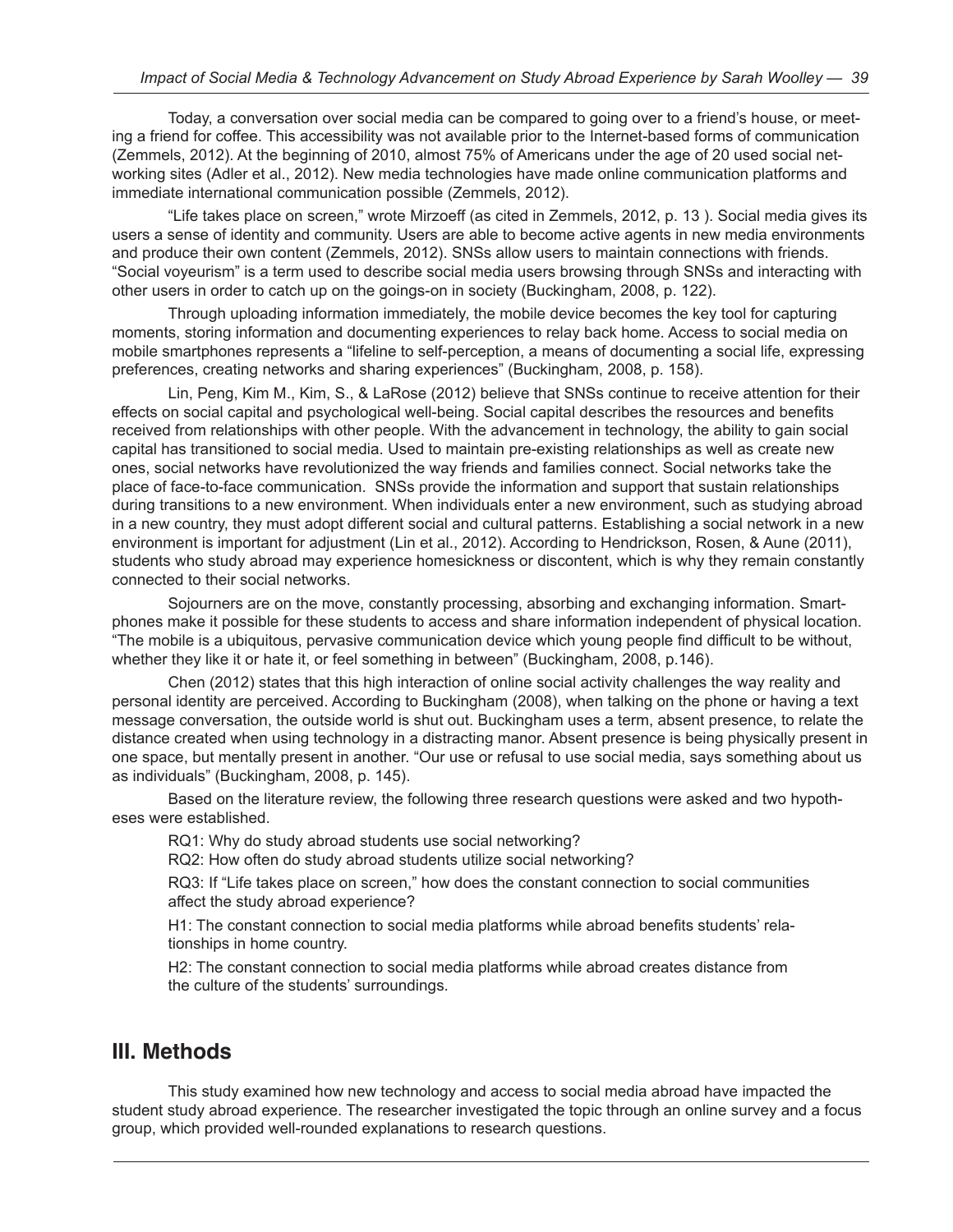Today, a conversation over social media can be compared to going over to a friend's house, or meeting a friend for coffee. This accessibility was not available prior to the Internet-based forms of communication (Zemmels, 2012). At the beginning of 2010, almost 75% of Americans under the age of 20 used social networking sites (Adler et al., 2012). New media technologies have made online communication platforms and immediate international communication possible (Zemmels, 2012).

"Life takes place on screen," wrote Mirzoeff (as cited in Zemmels, 2012, p. 13 ). Social media gives its users a sense of identity and community. Users are able to become active agents in new media environments and produce their own content (Zemmels, 2012). SNSs allow users to maintain connections with friends. "Social voyeurism" is a term used to describe social media users browsing through SNSs and interacting with other users in order to catch up on the goings-on in society (Buckingham, 2008, p. 122).

Through uploading information immediately, the mobile device becomes the key tool for capturing moments, storing information and documenting experiences to relay back home. Access to social media on mobile smartphones represents a "lifeline to self-perception, a means of documenting a social life, expressing preferences, creating networks and sharing experiences" (Buckingham, 2008, p. 158).

Lin, Peng, Kim M., Kim, S., & LaRose (2012) believe that SNSs continue to receive attention for their effects on social capital and psychological well-being. Social capital describes the resources and benefits received from relationships with other people. With the advancement in technology, the ability to gain social capital has transitioned to social media. Used to maintain pre-existing relationships as well as create new ones, social networks have revolutionized the way friends and families connect. Social networks take the place of face-to-face communication. SNSs provide the information and support that sustain relationships during transitions to a new environment. When individuals enter a new environment, such as studying abroad in a new country, they must adopt different social and cultural patterns. Establishing a social network in a new environment is important for adjustment (Lin et al., 2012). According to Hendrickson, Rosen, & Aune (2011), students who study abroad may experience homesickness or discontent, which is why they remain constantly connected to their social networks.

Sojourners are on the move, constantly processing, absorbing and exchanging information. Smartphones make it possible for these students to access and share information independent of physical location. "The mobile is a ubiquitous, pervasive communication device which young people find difficult to be without, whether they like it or hate it, or feel something in between" (Buckingham, 2008, p.146).

Chen (2012) states that this high interaction of online social activity challenges the way reality and personal identity are perceived. According to Buckingham (2008), when talking on the phone or having a text message conversation, the outside world is shut out. Buckingham uses a term, absent presence, to relate the distance created when using technology in a distracting manor. Absent presence is being physically present in one space, but mentally present in another. "Our use or refusal to use social media, says something about us as individuals" (Buckingham, 2008, p. 145).

Based on the literature review, the following three research questions were asked and two hypotheses were established.

RQ1: Why do study abroad students use social networking?

RQ2: How often do study abroad students utilize social networking?

RQ3: If "Life takes place on screen," how does the constant connection to social communities affect the study abroad experience?

H1: The constant connection to social media platforms while abroad benefits students' relationships in home country.

H2: The constant connection to social media platforms while abroad creates distance from the culture of the students' surroundings.

### **III. Methods**

This study examined how new technology and access to social media abroad have impacted the student study abroad experience. The researcher investigated the topic through an online survey and a focus group, which provided well-rounded explanations to research questions.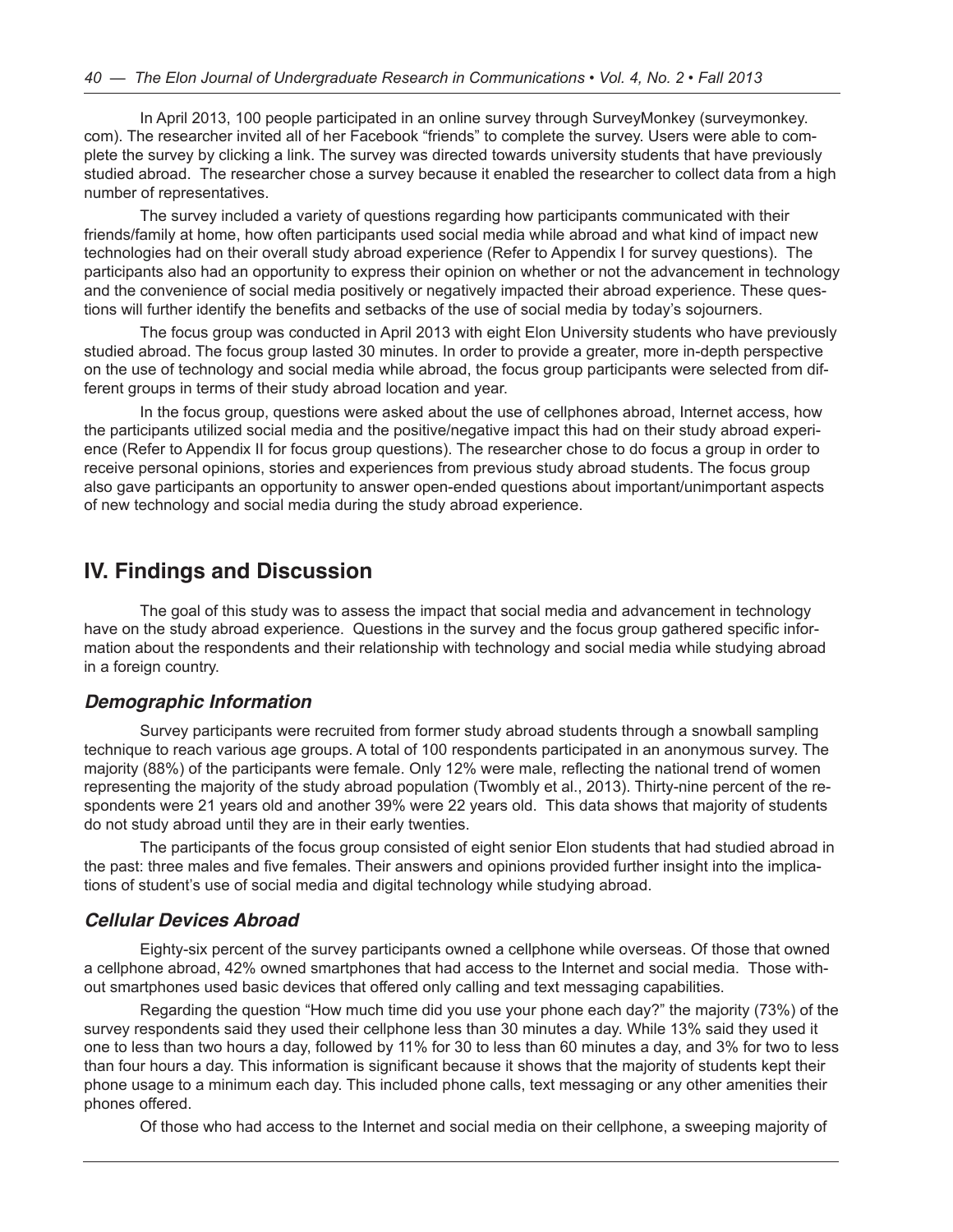In April 2013, 100 people participated in an online survey through SurveyMonkey (surveymonkey. com). The researcher invited all of her Facebook "friends" to complete the survey. Users were able to complete the survey by clicking a link. The survey was directed towards university students that have previously studied abroad. The researcher chose a survey because it enabled the researcher to collect data from a high number of representatives.

The survey included a variety of questions regarding how participants communicated with their friends/family at home, how often participants used social media while abroad and what kind of impact new technologies had on their overall study abroad experience (Refer to Appendix I for survey questions). The participants also had an opportunity to express their opinion on whether or not the advancement in technology and the convenience of social media positively or negatively impacted their abroad experience. These questions will further identify the benefits and setbacks of the use of social media by today's sojourners.

The focus group was conducted in April 2013 with eight Elon University students who have previously studied abroad. The focus group lasted 30 minutes. In order to provide a greater, more in-depth perspective on the use of technology and social media while abroad, the focus group participants were selected from different groups in terms of their study abroad location and year.

In the focus group, questions were asked about the use of cellphones abroad, Internet access, how the participants utilized social media and the positive/negative impact this had on their study abroad experience (Refer to Appendix II for focus group questions). The researcher chose to do focus a group in order to receive personal opinions, stories and experiences from previous study abroad students. The focus group also gave participants an opportunity to answer open-ended questions about important/unimportant aspects of new technology and social media during the study abroad experience.

### **IV. Findings and Discussion**

The goal of this study was to assess the impact that social media and advancement in technology have on the study abroad experience. Questions in the survey and the focus group gathered specific information about the respondents and their relationship with technology and social media while studying abroad in a foreign country.

### *Demographic Information*

Survey participants were recruited from former study abroad students through a snowball sampling technique to reach various age groups. A total of 100 respondents participated in an anonymous survey. The majority (88%) of the participants were female. Only 12% were male, reflecting the national trend of women representing the majority of the study abroad population (Twombly et al., 2013). Thirty-nine percent of the respondents were 21 years old and another 39% were 22 years old. This data shows that majority of students do not study abroad until they are in their early twenties.

The participants of the focus group consisted of eight senior Elon students that had studied abroad in the past: three males and five females. Their answers and opinions provided further insight into the implications of student's use of social media and digital technology while studying abroad.

#### *Cellular Devices Abroad*

Eighty-six percent of the survey participants owned a cellphone while overseas. Of those that owned a cellphone abroad, 42% owned smartphones that had access to the Internet and social media. Those without smartphones used basic devices that offered only calling and text messaging capabilities.

Regarding the question "How much time did you use your phone each day?" the majority (73%) of the survey respondents said they used their cellphone less than 30 minutes a day. While 13% said they used it one to less than two hours a day, followed by 11% for 30 to less than 60 minutes a day, and 3% for two to less than four hours a day. This information is significant because it shows that the majority of students kept their phone usage to a minimum each day. This included phone calls, text messaging or any other amenities their phones offered.

Of those who had access to the Internet and social media on their cellphone, a sweeping majority of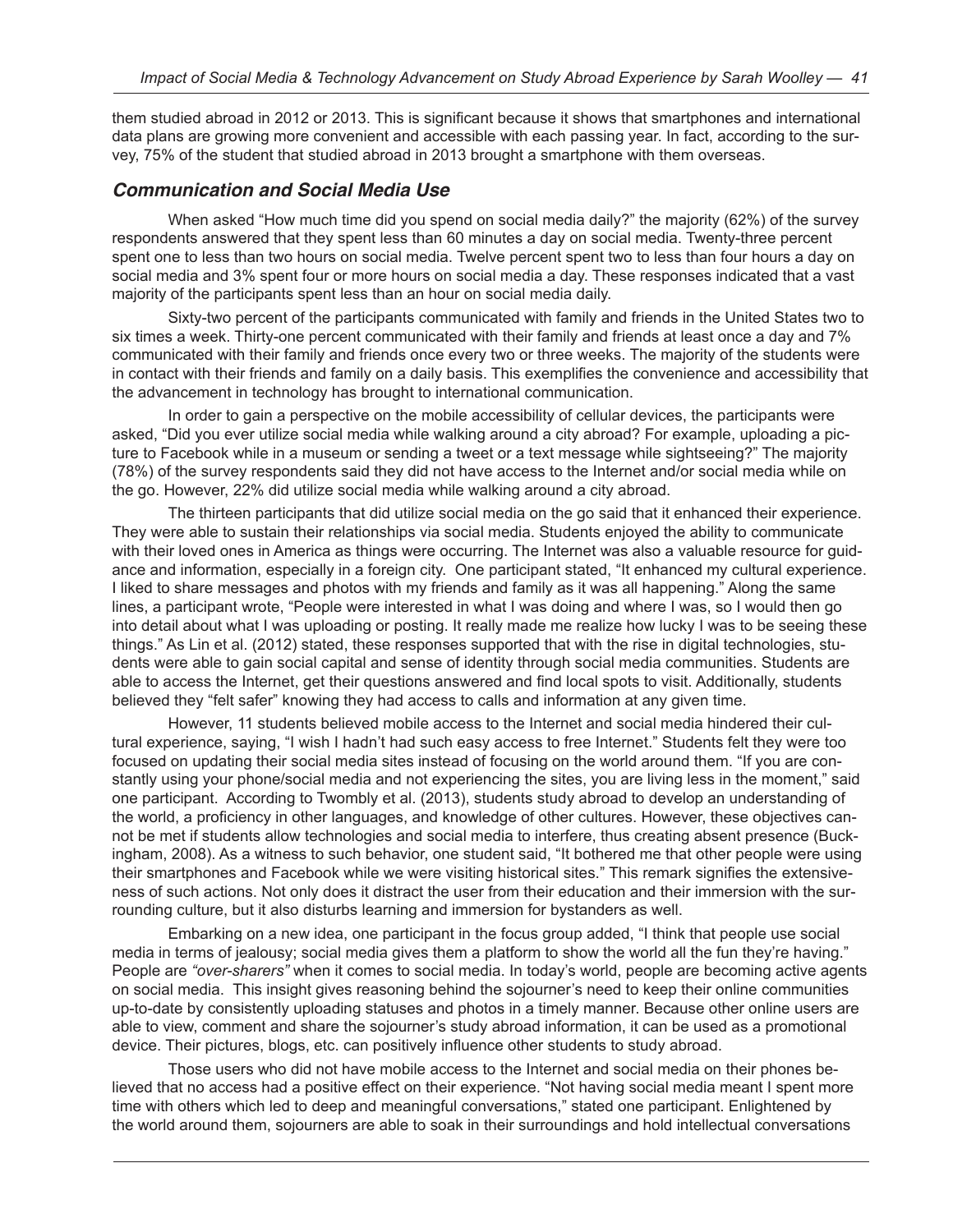them studied abroad in 2012 or 2013. This is significant because it shows that smartphones and international data plans are growing more convenient and accessible with each passing year. In fact, according to the survey, 75% of the student that studied abroad in 2013 brought a smartphone with them overseas.

### *Communication and Social Media Use*

When asked "How much time did you spend on social media daily?" the majority (62%) of the survey respondents answered that they spent less than 60 minutes a day on social media. Twenty-three percent spent one to less than two hours on social media. Twelve percent spent two to less than four hours a day on social media and 3% spent four or more hours on social media a day. These responses indicated that a vast majority of the participants spent less than an hour on social media daily.

Sixty-two percent of the participants communicated with family and friends in the United States two to six times a week. Thirty-one percent communicated with their family and friends at least once a day and 7% communicated with their family and friends once every two or three weeks. The majority of the students were in contact with their friends and family on a daily basis. This exemplifies the convenience and accessibility that the advancement in technology has brought to international communication.

In order to gain a perspective on the mobile accessibility of cellular devices, the participants were asked, "Did you ever utilize social media while walking around a city abroad? For example, uploading a picture to Facebook while in a museum or sending a tweet or a text message while sightseeing?" The majority (78%) of the survey respondents said they did not have access to the Internet and/or social media while on the go. However, 22% did utilize social media while walking around a city abroad.

The thirteen participants that did utilize social media on the go said that it enhanced their experience. They were able to sustain their relationships via social media. Students enjoyed the ability to communicate with their loved ones in America as things were occurring. The Internet was also a valuable resource for guidance and information, especially in a foreign city. One participant stated, "It enhanced my cultural experience. I liked to share messages and photos with my friends and family as it was all happening." Along the same lines, a participant wrote, "People were interested in what I was doing and where I was, so I would then go into detail about what I was uploading or posting. It really made me realize how lucky I was to be seeing these things." As Lin et al. (2012) stated, these responses supported that with the rise in digital technologies, students were able to gain social capital and sense of identity through social media communities. Students are able to access the Internet, get their questions answered and find local spots to visit. Additionally, students believed they "felt safer" knowing they had access to calls and information at any given time.

However, 11 students believed mobile access to the Internet and social media hindered their cultural experience, saying, "I wish I hadn't had such easy access to free Internet." Students felt they were too focused on updating their social media sites instead of focusing on the world around them. "If you are constantly using your phone/social media and not experiencing the sites, you are living less in the moment," said one participant. According to Twombly et al. (2013), students study abroad to develop an understanding of the world, a proficiency in other languages, and knowledge of other cultures. However, these objectives cannot be met if students allow technologies and social media to interfere, thus creating absent presence (Buckingham, 2008). As a witness to such behavior, one student said, "It bothered me that other people were using their smartphones and Facebook while we were visiting historical sites." This remark signifies the extensiveness of such actions. Not only does it distract the user from their education and their immersion with the surrounding culture, but it also disturbs learning and immersion for bystanders as well.

Embarking on a new idea, one participant in the focus group added, "I think that people use social media in terms of jealousy; social media gives them a platform to show the world all the fun they're having." People are *"over-sharers"* when it comes to social media. In today's world, people are becoming active agents on social media. This insight gives reasoning behind the sojourner's need to keep their online communities up-to-date by consistently uploading statuses and photos in a timely manner. Because other online users are able to view, comment and share the sojourner's study abroad information, it can be used as a promotional device. Their pictures, blogs, etc. can positively influence other students to study abroad.

Those users who did not have mobile access to the Internet and social media on their phones believed that no access had a positive effect on their experience. "Not having social media meant I spent more time with others which led to deep and meaningful conversations," stated one participant. Enlightened by the world around them, sojourners are able to soak in their surroundings and hold intellectual conversations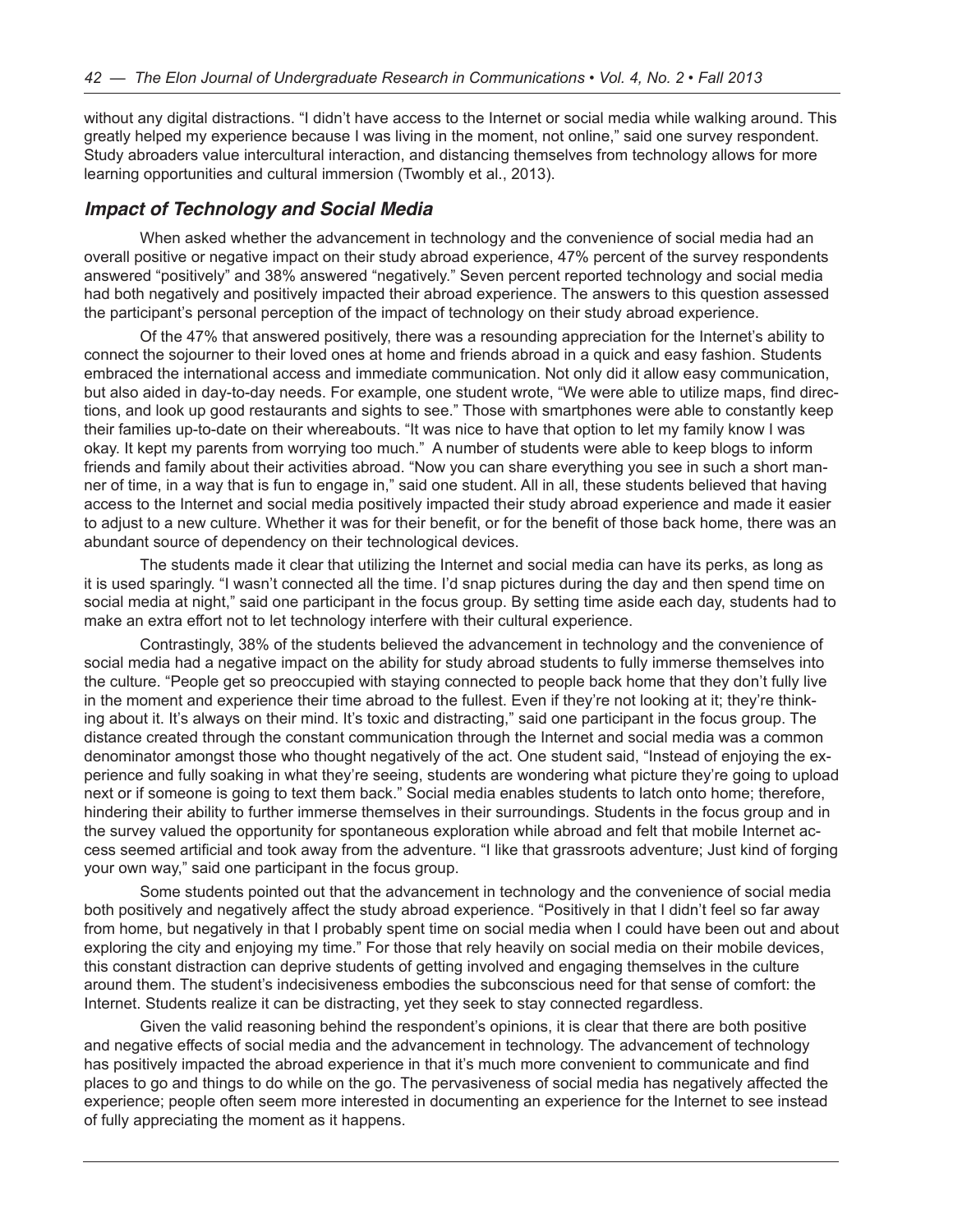without any digital distractions. "I didn't have access to the Internet or social media while walking around. This greatly helped my experience because I was living in the moment, not online," said one survey respondent. Study abroaders value intercultural interaction, and distancing themselves from technology allows for more learning opportunities and cultural immersion (Twombly et al., 2013).

#### *Impact of Technology and Social Media*

When asked whether the advancement in technology and the convenience of social media had an overall positive or negative impact on their study abroad experience, 47% percent of the survey respondents answered "positively" and 38% answered "negatively." Seven percent reported technology and social media had both negatively and positively impacted their abroad experience. The answers to this question assessed the participant's personal perception of the impact of technology on their study abroad experience.

Of the 47% that answered positively, there was a resounding appreciation for the Internet's ability to connect the sojourner to their loved ones at home and friends abroad in a quick and easy fashion. Students embraced the international access and immediate communication. Not only did it allow easy communication, but also aided in day-to-day needs. For example, one student wrote, "We were able to utilize maps, find directions, and look up good restaurants and sights to see." Those with smartphones were able to constantly keep their families up-to-date on their whereabouts. "It was nice to have that option to let my family know I was okay. It kept my parents from worrying too much." A number of students were able to keep blogs to inform friends and family about their activities abroad. "Now you can share everything you see in such a short manner of time, in a way that is fun to engage in," said one student. All in all, these students believed that having access to the Internet and social media positively impacted their study abroad experience and made it easier to adjust to a new culture. Whether it was for their benefit, or for the benefit of those back home, there was an abundant source of dependency on their technological devices.

The students made it clear that utilizing the Internet and social media can have its perks, as long as it is used sparingly. "I wasn't connected all the time. I'd snap pictures during the day and then spend time on social media at night," said one participant in the focus group. By setting time aside each day, students had to make an extra effort not to let technology interfere with their cultural experience.

Contrastingly, 38% of the students believed the advancement in technology and the convenience of social media had a negative impact on the ability for study abroad students to fully immerse themselves into the culture. "People get so preoccupied with staying connected to people back home that they don't fully live in the moment and experience their time abroad to the fullest. Even if they're not looking at it; they're thinking about it. It's always on their mind. It's toxic and distracting," said one participant in the focus group. The distance created through the constant communication through the Internet and social media was a common denominator amongst those who thought negatively of the act. One student said, "Instead of enjoying the experience and fully soaking in what they're seeing, students are wondering what picture they're going to upload next or if someone is going to text them back." Social media enables students to latch onto home; therefore, hindering their ability to further immerse themselves in their surroundings. Students in the focus group and in the survey valued the opportunity for spontaneous exploration while abroad and felt that mobile Internet access seemed artificial and took away from the adventure. "I like that grassroots adventure; Just kind of forging your own way," said one participant in the focus group.

Some students pointed out that the advancement in technology and the convenience of social media both positively and negatively affect the study abroad experience. "Positively in that I didn't feel so far away from home, but negatively in that I probably spent time on social media when I could have been out and about exploring the city and enjoying my time." For those that rely heavily on social media on their mobile devices, this constant distraction can deprive students of getting involved and engaging themselves in the culture around them. The student's indecisiveness embodies the subconscious need for that sense of comfort: the Internet. Students realize it can be distracting, yet they seek to stay connected regardless.

Given the valid reasoning behind the respondent's opinions, it is clear that there are both positive and negative effects of social media and the advancement in technology. The advancement of technology has positively impacted the abroad experience in that it's much more convenient to communicate and find places to go and things to do while on the go. The pervasiveness of social media has negatively affected the experience; people often seem more interested in documenting an experience for the Internet to see instead of fully appreciating the moment as it happens.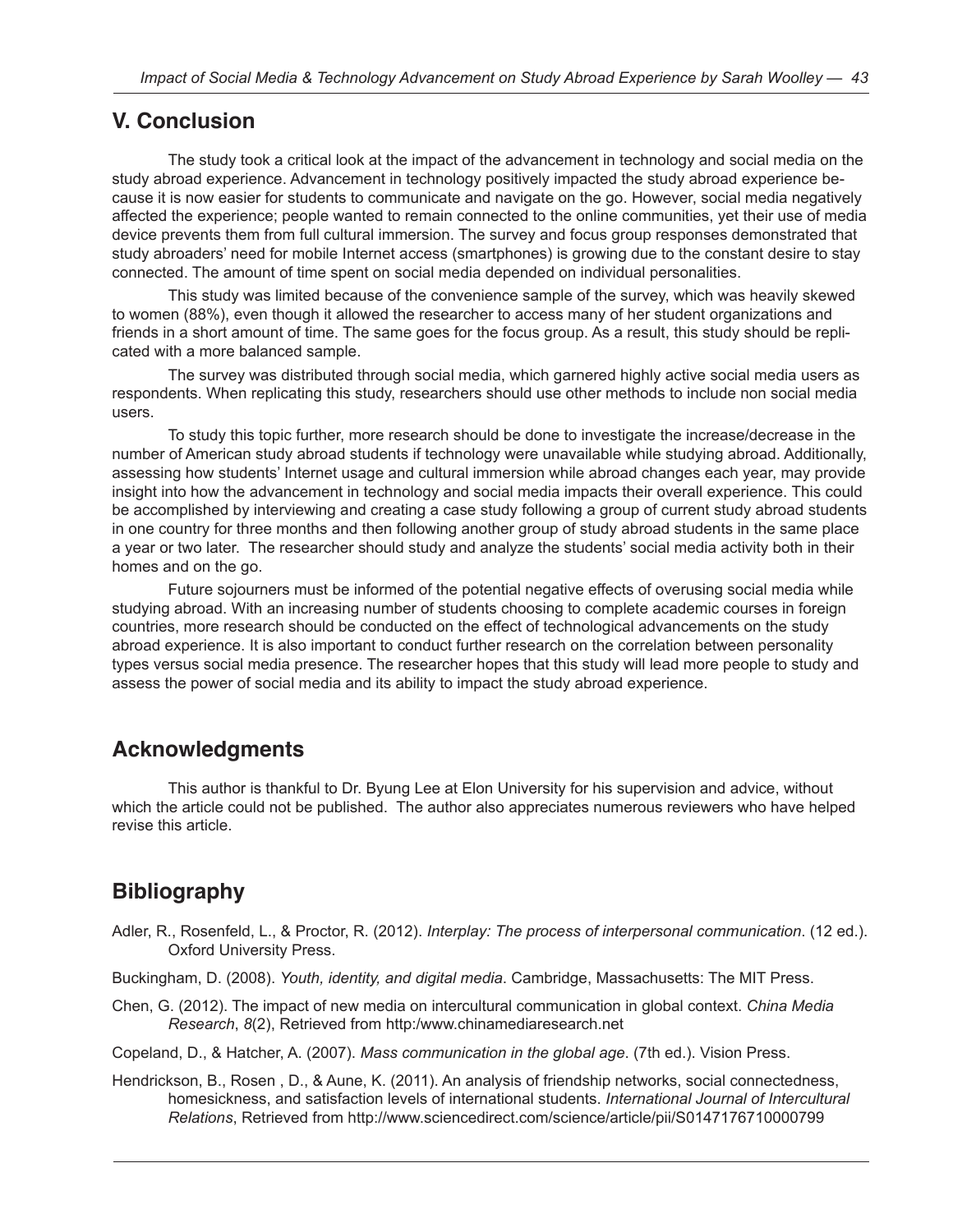# **V. Conclusion**

The study took a critical look at the impact of the advancement in technology and social media on the study abroad experience. Advancement in technology positively impacted the study abroad experience because it is now easier for students to communicate and navigate on the go. However, social media negatively affected the experience; people wanted to remain connected to the online communities, yet their use of media device prevents them from full cultural immersion. The survey and focus group responses demonstrated that study abroaders' need for mobile Internet access (smartphones) is growing due to the constant desire to stay connected. The amount of time spent on social media depended on individual personalities.

This study was limited because of the convenience sample of the survey, which was heavily skewed to women (88%), even though it allowed the researcher to access many of her student organizations and friends in a short amount of time. The same goes for the focus group. As a result, this study should be replicated with a more balanced sample.

The survey was distributed through social media, which garnered highly active social media users as respondents. When replicating this study, researchers should use other methods to include non social media users.

To study this topic further, more research should be done to investigate the increase/decrease in the number of American study abroad students if technology were unavailable while studying abroad. Additionally, assessing how students' Internet usage and cultural immersion while abroad changes each year, may provide insight into how the advancement in technology and social media impacts their overall experience. This could be accomplished by interviewing and creating a case study following a group of current study abroad students in one country for three months and then following another group of study abroad students in the same place a year or two later. The researcher should study and analyze the students' social media activity both in their homes and on the go.

Future sojourners must be informed of the potential negative effects of overusing social media while studying abroad. With an increasing number of students choosing to complete academic courses in foreign countries, more research should be conducted on the effect of technological advancements on the study abroad experience. It is also important to conduct further research on the correlation between personality types versus social media presence. The researcher hopes that this study will lead more people to study and assess the power of social media and its ability to impact the study abroad experience.

# **Acknowledgments**

This author is thankful to Dr. Byung Lee at Elon University for his supervision and advice, without which the article could not be published. The author also appreciates numerous reviewers who have helped revise this article.

# **Bibliography**

- Adler, R., Rosenfeld, L., & Proctor, R. (2012). *Interplay: The process of interpersonal communication*. (12 ed.). Oxford University Press.
- Buckingham, D. (2008). *Youth, identity, and digital media*. Cambridge, Massachusetts: The MIT Press.
- Chen, G. (2012). The impact of new media on intercultural communication in global context. *China Media Research*, *8*(2), Retrieved from http:/www.chinamediaresearch.net

Copeland, D., & Hatcher, A. (2007). *Mass communication in the global age*. (7th ed.). Vision Press.

Hendrickson, B., Rosen , D., & Aune, K. (2011). An analysis of friendship networks, social connectedness, homesickness, and satisfaction levels of international students. *International Journal of Intercultural Relations*, Retrieved from http://www.sciencedirect.com/science/article/pii/S0147176710000799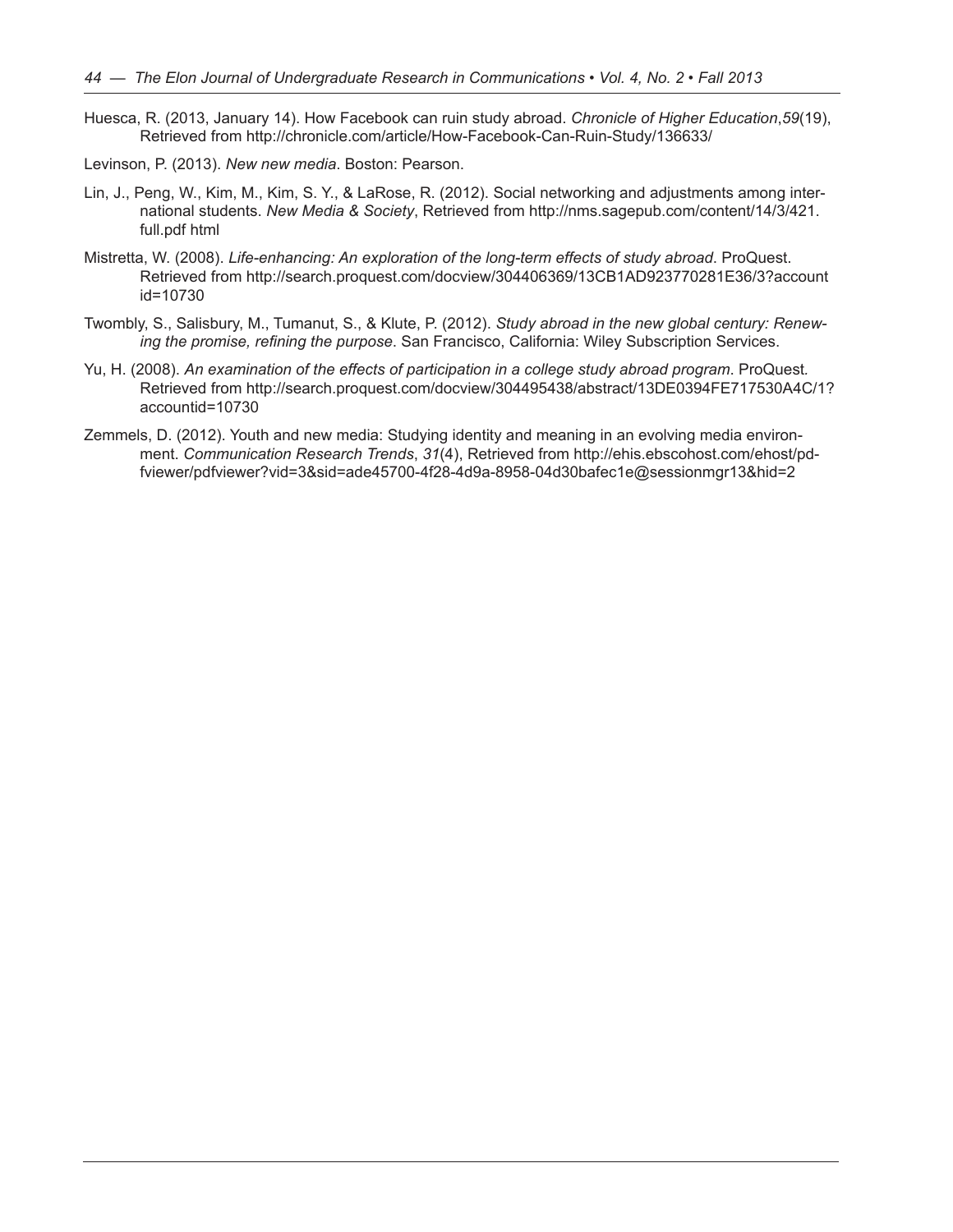- Huesca, R. (2013, January 14). How Facebook can ruin study abroad. *Chronicle of Higher Education*,*59*(19), Retrieved from http://chronicle.com/article/How-Facebook-Can-Ruin-Study/136633/
- Levinson, P. (2013). *New new media*. Boston: Pearson.
- Lin, J., Peng, W., Kim, M., Kim, S. Y., & LaRose, R. (2012). Social networking and adjustments among international students. *New Media & Society*, Retrieved from http://nms.sagepub.com/content/14/3/421. full.pdf html
- Mistretta, W. (2008). *Life-enhancing: An exploration of the long-term effects of study abroad*. ProQuest. Retrieved from http://search.proquest.com/docview/304406369/13CB1AD923770281E36/3?account id=10730
- Twombly, S., Salisbury, M., Tumanut, S., & Klute, P. (2012). *Study abroad in the new global century: Renewing the promise, refining the purpose*. San Francisco, California: Wiley Subscription Services.
- Yu, H. (2008). *An examination of the effects of participation in a college study abroad program*. ProQuest*.*  Retrieved from http://search.proquest.com/docview/304495438/abstract/13DE0394FE717530A4C/1? accountid=10730
- Zemmels, D. (2012). Youth and new media: Studying identity and meaning in an evolving media environment. *Communication Research Trends*, *31*(4), Retrieved from http://ehis.ebscohost.com/ehost/pdfviewer/pdfviewer?vid=3&sid=ade45700-4f28-4d9a-8958-04d30bafec1e@sessionmgr13&hid=2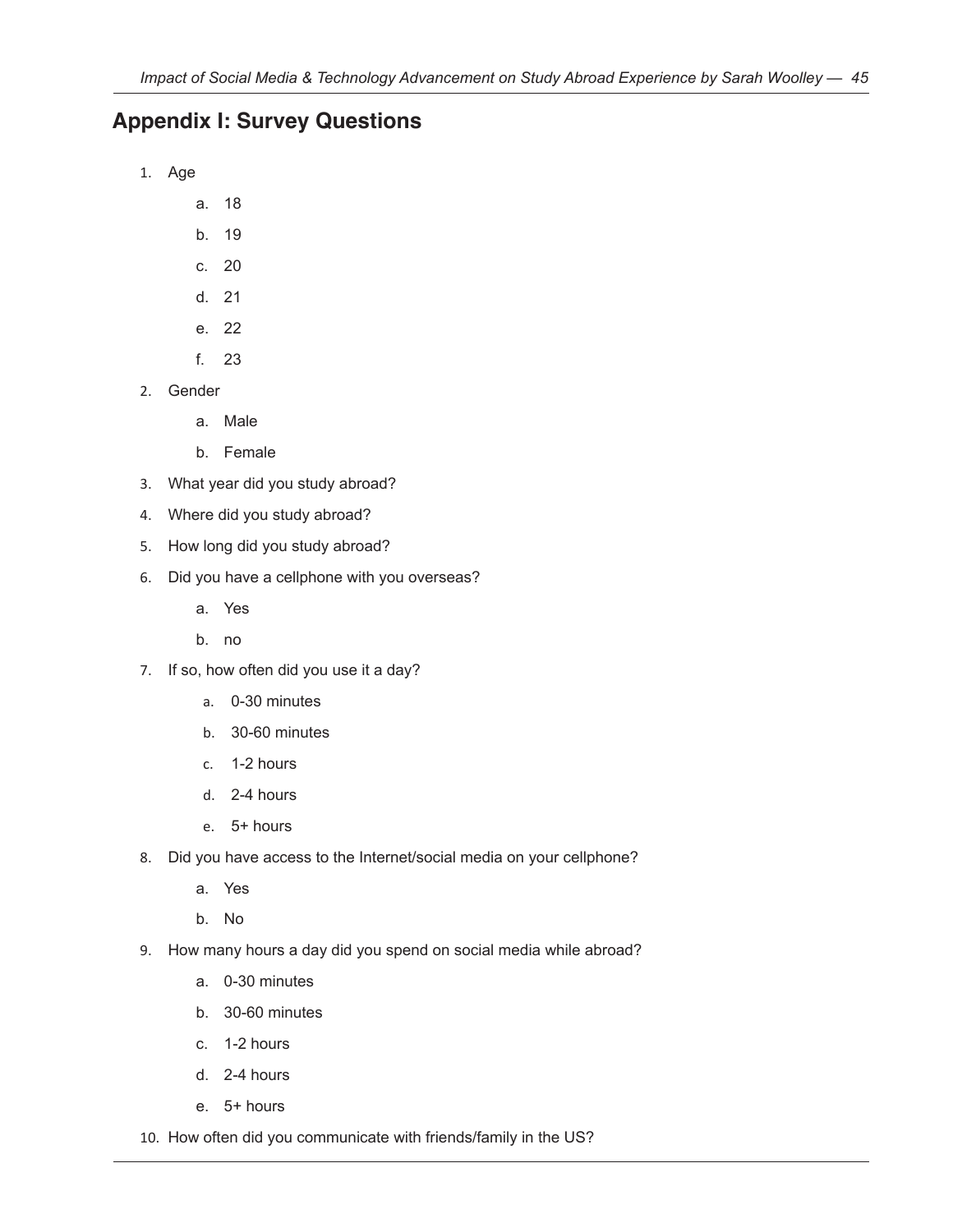# **Appendix I: Survey Questions**

- 1. Age
	- a. 18
	- b. 19
	- c. 20
	- d. 21
	- e. 22
	- f. 23
- 2. Gender
	- a. Male
	- b. Female
- 3. What year did you study abroad?
- 4. Where did you study abroad?
- 5. How long did you study abroad?
- 6. Did you have a cellphone with you overseas?
	- a. Yes
	- b. no
- 7. If so, how often did you use it a day?
	- a. 0-30 minutes
	- b. 30-60 minutes
	- c. 1-2 hours
	- d. 2-4 hours
	- e. 5+ hours
- 8. Did you have access to the Internet/social media on your cellphone?
	- a. Yes
	- b. No
- 9. How many hours a day did you spend on social media while abroad?
	- a. 0-30 minutes
	- b. 30-60 minutes
	- c. 1-2 hours
	- d. 2-4 hours
	- e. 5+ hours
- 10. How often did you communicate with friends/family in the US?